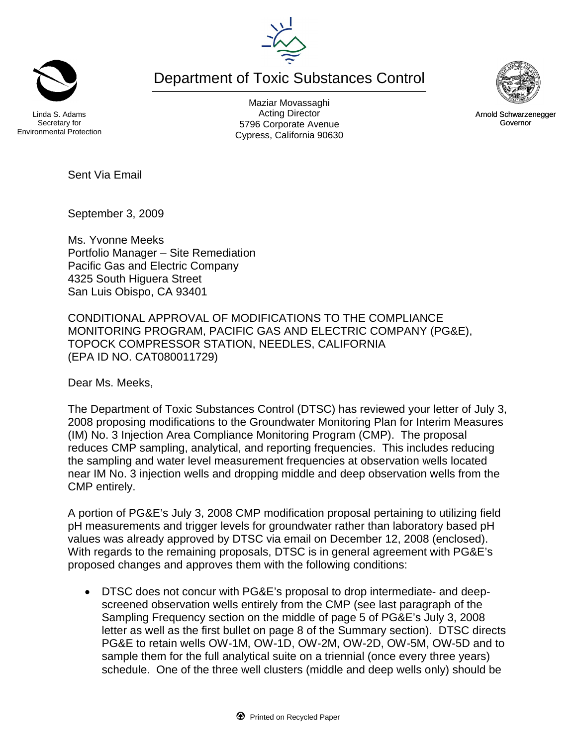Department of Toxic Substances Control



Maziar Movassaghi Acting Director 5796 Corporate Avenue Cypress, California 90630





Arnold Schwarzenegger Governor

Sent Via Email

September 3, 2009

Ms. Yvonne Meeks Portfolio Manager – Site Remediation Pacific Gas and Electric Company 4325 South Higuera Street San Luis Obispo, CA 93401

CONDITIONAL APPROVAL OF MODIFICATIONS TO THE COMPLIANCE MONITORING PROGRAM, PACIFIC GAS AND ELECTRIC COMPANY (PG&E), TOPOCK COMPRESSOR STATION, NEEDLES, CALIFORNIA (EPA ID NO. CAT080011729)

Dear Ms. Meeks,

The Department of Toxic Substances Control (DTSC) has reviewed your letter of July 3, 2008 proposing modifications to the Groundwater Monitoring Plan for Interim Measures (IM) No. 3 Injection Area Compliance Monitoring Program (CMP). The proposal reduces CMP sampling, analytical, and reporting frequencies. This includes reducing the sampling and water level measurement frequencies at observation wells located near IM No. 3 injection wells and dropping middle and deep observation wells from the CMP entirely.

A portion of PG&E's July 3, 2008 CMP modification proposal pertaining to utilizing field pH measurements and trigger levels for groundwater rather than laboratory based pH values was already approved by DTSC via email on December 12, 2008 (enclosed). With regards to the remaining proposals, DTSC is in general agreement with PG&E's proposed changes and approves them with the following conditions:

 DTSC does not concur with PG&E's proposal to drop intermediate- and deepscreened observation wells entirely from the CMP (see last paragraph of the Sampling Frequency section on the middle of page 5 of PG&E's July 3, 2008 letter as well as the first bullet on page 8 of the Summary section). DTSC directs PG&E to retain wells OW-1M, OW-1D, OW-2M, OW-2D, OW-5M, OW-5D and to sample them for the full analytical suite on a triennial (once every three years) schedule. One of the three well clusters (middle and deep wells only) should be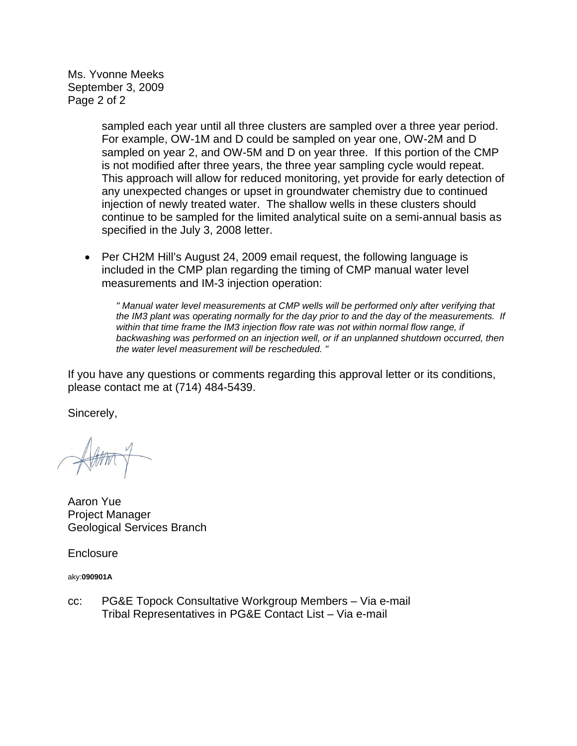Ms. Yvonne Meeks September 3, 2009 Page 2 of 2

> sampled each year until all three clusters are sampled over a three year period. For example, OW-1M and D could be sampled on year one, OW-2M and D sampled on year 2, and OW-5M and D on year three. If this portion of the CMP is not modified after three years, the three year sampling cycle would repeat. This approach will allow for reduced monitoring, yet provide for early detection of any unexpected changes or upset in groundwater chemistry due to continued injection of newly treated water. The shallow wells in these clusters should continue to be sampled for the limited analytical suite on a semi-annual basis as specified in the July 3, 2008 letter.

• Per CH2M Hill's August 24, 2009 email request, the following language is included in the CMP plan regarding the timing of CMP manual water level measurements and IM-3 injection operation:

*" Manual water level measurements at CMP wells will be performed only after verifying that the IM3 plant was operating normally for the day prior to and the day of the measurements. If within that time frame the IM3 injection flow rate was not within normal flow range, if backwashing was performed on an injection well, or if an unplanned shutdown occurred, then the water level measurement will be rescheduled. "*

If you have any questions or comments regarding this approval letter or its conditions, please contact me at (714) 484-5439.

Sincerely,

Aaron Yue Project Manager Geological Services Branch

**Enclosure** 

aky:**090901A**

cc: PG&E Topock Consultative Workgroup Members – Via e-mail Tribal Representatives in PG&E Contact List – Via e-mail